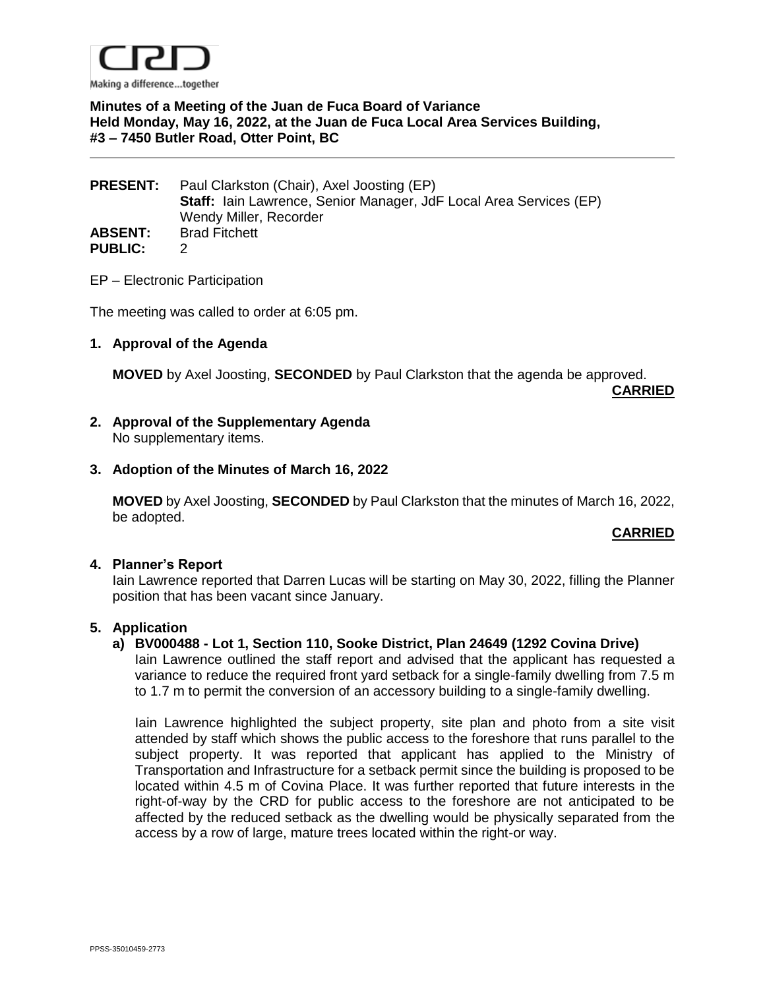

# **Minutes of a Meeting of the Juan de Fuca Board of Variance Held Monday, May 16, 2022, at the Juan de Fuca Local Area Services Building, #3 – 7450 Butler Road, Otter Point, BC**

| <b>PRESENT:</b> | Paul Clarkston (Chair), Axel Joosting (EP)                                |
|-----------------|---------------------------------------------------------------------------|
|                 | <b>Staff:</b> lain Lawrence, Senior Manager, JdF Local Area Services (EP) |
|                 | Wendy Miller, Recorder                                                    |
| <b>ABSENT:</b>  | <b>Brad Fitchett</b>                                                      |
| <b>PUBLIC:</b>  |                                                                           |

EP – Electronic Participation

The meeting was called to order at 6:05 pm.

### **1. Approval of the Agenda**

**MOVED** by Axel Joosting, **SECONDED** by Paul Clarkston that the agenda be approved.

**CARRIED**

### **2. Approval of the Supplementary Agenda** No supplementary items.

### **3. Adoption of the Minutes of March 16, 2022**

**MOVED** by Axel Joosting, **SECONDED** by Paul Clarkston that the minutes of March 16, 2022, be adopted.

### **CARRIED**

### **4. Planner's Report**

Iain Lawrence reported that Darren Lucas will be starting on May 30, 2022, filling the Planner position that has been vacant since January.

### **5. Application**

### **a) BV000488 - Lot 1, Section 110, Sooke District, Plan 24649 (1292 Covina Drive)**

Iain Lawrence outlined the staff report and advised that the applicant has requested a variance to reduce the required front yard setback for a single-family dwelling from 7.5 m to 1.7 m to permit the conversion of an accessory building to a single-family dwelling.

Iain Lawrence highlighted the subject property, site plan and photo from a site visit attended by staff which shows the public access to the foreshore that runs parallel to the subject property. It was reported that applicant has applied to the Ministry of Transportation and Infrastructure for a setback permit since the building is proposed to be located within 4.5 m of Covina Place. It was further reported that future interests in the right-of-way by the CRD for public access to the foreshore are not anticipated to be affected by the reduced setback as the dwelling would be physically separated from the access by a row of large, mature trees located within the right-or way.